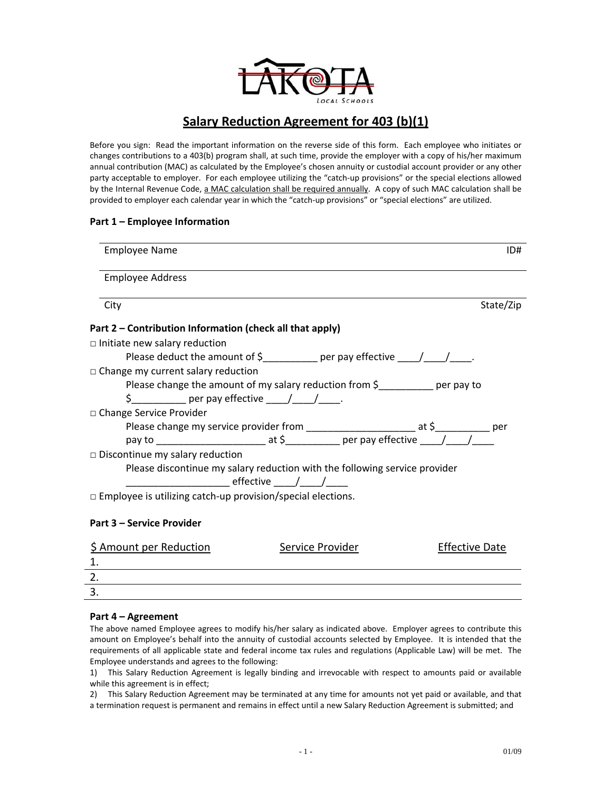

# **Salary Reduction Agreement for 403 (b)(1)**

Before you sign: Read the important information on the reverse side of this form. Each employee who initiates or changes contributions to a 403(b) program shall, at such time, provide the employer with a copy of his/her maximum annual contribution (MAC) as calculated by the Employee's chosen annuity or custodial account provider or any other party acceptable to employer. For each employee utilizing the "catch-up provisions" or the special elections allowed by the Internal Revenue Code, a MAC calculation shall be required annually. A copy of such MAC calculation shall be provided to employer each calendar year in which the "catch‐up provisions" or "special elections" are utilized.

# **Part 1 – Employee Information**

| <b>Employee Name</b>                                                              | ID#       |
|-----------------------------------------------------------------------------------|-----------|
| <b>Employee Address</b>                                                           |           |
| City                                                                              | State/Zip |
| Part 2 - Contribution Information (check all that apply)                          |           |
| $\Box$ Initiate new salary reduction                                              |           |
| Please deduct the amount of $\zeta$ ___________ per pay effective ____/____/____. |           |
| $\Box$ Change my current salary reduction                                         |           |
| Please change the amount of my salary reduction from $\zeta$ per pay to           |           |
| \$                                                                                |           |
| □ Change Service Provider                                                         |           |
|                                                                                   |           |
|                                                                                   |           |
| $\Box$ Discontinue my salary reduction                                            |           |
| Please discontinue my salary reduction with the following service provider        |           |
| ________________ effective _____/_____/_____                                      |           |
| $\Box$ Employee is utilizing catch-up provision/special elections.                |           |
|                                                                                   |           |

## **Part 3 – Service Provider**

| \$ Amount per Reduction | Service Provider | <b>Effective Date</b> |
|-------------------------|------------------|-----------------------|
|                         |                  |                       |
|                         |                  |                       |
|                         |                  |                       |
|                         |                  |                       |

## **Part 4 – Agreement**

The above named Employee agrees to modify his/her salary as indicated above. Employer agrees to contribute this amount on Employee's behalf into the annuity of custodial accounts selected by Employee. It is intended that the requirements of all applicable state and federal income tax rules and regulations (Applicable Law) will be met. The Employee understands and agrees to the following:

1) This Salary Reduction Agreement is legally binding and irrevocable with respect to amounts paid or available while this agreement is in effect;

2) This Salary Reduction Agreement may be terminated at any time for amounts not yet paid or available, and that a termination request is permanent and remains in effect until a new Salary Reduction Agreement is submitted; and